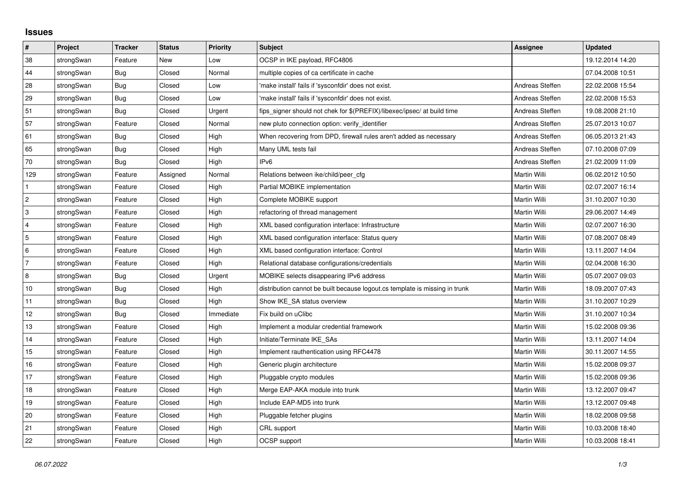## **Issues**

| $\vert$ #                 | Project    | <b>Tracker</b> | <b>Status</b> | <b>Priority</b> | <b>Subject</b>                                                              | <b>Assignee</b>     | <b>Updated</b>   |
|---------------------------|------------|----------------|---------------|-----------------|-----------------------------------------------------------------------------|---------------------|------------------|
| 38                        | strongSwan | Feature        | New           | Low             | OCSP in IKE payload, RFC4806                                                |                     | 19.12.2014 14:20 |
| 44                        | strongSwan | Bug            | Closed        | Normal          | multiple copies of ca certificate in cache                                  |                     | 07.04.2008 10:51 |
| 28                        | strongSwan | <b>Bug</b>     | Closed        | Low             | 'make install' fails if 'sysconfdir' does not exist.                        | Andreas Steffen     | 22.02.2008 15:54 |
| 29                        | strongSwan | <b>Bug</b>     | Closed        | Low             | 'make install' fails if 'sysconfdir' does not exist.                        | Andreas Steffen     | 22.02.2008 15:53 |
| 51                        | strongSwan | Bug            | Closed        | Urgent          | fips signer should not chek for \$(PREFIX)/libexec/ipsec/ at build time     | Andreas Steffen     | 19.08.2008 21:10 |
| 57                        | strongSwan | Feature        | Closed        | Normal          | new pluto connection option: verify_identifier                              | Andreas Steffen     | 25.07.2013 10:07 |
| 61                        | strongSwan | Bug            | Closed        | High            | When recovering from DPD, firewall rules aren't added as necessary          | Andreas Steffen     | 06.05.2013 21:43 |
| 65                        | strongSwan | <b>Bug</b>     | Closed        | High            | Many UML tests fail                                                         | Andreas Steffen     | 07.10.2008 07:09 |
| 70                        | strongSwan | <b>Bug</b>     | Closed        | High            | IP <sub>v6</sub>                                                            | Andreas Steffen     | 21.02.2009 11:09 |
| 129                       | strongSwan | Feature        | Assigned      | Normal          | Relations between ike/child/peer cfg                                        | Martin Willi        | 06.02.2012 10:50 |
| $\mathbf{1}$              | strongSwan | Feature        | Closed        | High            | Partial MOBIKE implementation                                               | Martin Willi        | 02.07.2007 16:14 |
| $\sqrt{2}$                | strongSwan | Feature        | Closed        | High            | Complete MOBIKE support                                                     | Martin Willi        | 31.10.2007 10:30 |
| $\ensuremath{\mathsf{3}}$ | strongSwan | Feature        | Closed        | High            | refactoring of thread management                                            | Martin Willi        | 29.06.2007 14:49 |
| $\overline{4}$            | strongSwan | Feature        | Closed        | High            | XML based configuration interface: Infrastructure                           | Martin Willi        | 02.07.2007 16:30 |
| $\sqrt{5}$                | strongSwan | Feature        | Closed        | High            | XML based configuration interface: Status query                             | Martin Willi        | 07.08.2007 08:49 |
| $\,6\,$                   | strongSwan | Feature        | Closed        | High            | XML based configuration interface: Control                                  | <b>Martin Willi</b> | 13.11.2007 14:04 |
| $\overline{7}$            | strongSwan | Feature        | Closed        | High            | Relational database configurations/credentials                              | Martin Willi        | 02.04.2008 16:30 |
| 8                         | strongSwan | Bug            | Closed        | Urgent          | MOBIKE selects disappearing IPv6 address                                    | Martin Willi        | 05.07.2007 09:03 |
| 10                        | strongSwan | Bug            | Closed        | High            | distribution cannot be built because logout.cs template is missing in trunk | Martin Willi        | 18.09.2007 07:43 |
| 11                        | strongSwan | Bug            | Closed        | High            | Show IKE_SA status overview                                                 | Martin Willi        | 31.10.2007 10:29 |
| 12                        | strongSwan | <b>Bug</b>     | Closed        | Immediate       | Fix build on uClibc                                                         | Martin Willi        | 31.10.2007 10:34 |
| 13                        | strongSwan | Feature        | Closed        | High            | Implement a modular credential framework                                    | Martin Willi        | 15.02.2008 09:36 |
| 14                        | strongSwan | Feature        | Closed        | High            | Initiate/Terminate IKE_SAs                                                  | Martin Willi        | 13.11.2007 14:04 |
| 15                        | strongSwan | Feature        | Closed        | High            | Implement rauthentication using RFC4478                                     | Martin Willi        | 30.11.2007 14:55 |
| 16                        | strongSwan | Feature        | Closed        | High            | Generic plugin architecture                                                 | Martin Willi        | 15.02.2008 09:37 |
| 17                        | strongSwan | Feature        | Closed        | High            | Pluggable crypto modules                                                    | Martin Willi        | 15.02.2008 09:36 |
| 18                        | strongSwan | Feature        | Closed        | High            | Merge EAP-AKA module into trunk                                             | Martin Willi        | 13.12.2007 09:47 |
| 19                        | strongSwan | Feature        | Closed        | High            | Include EAP-MD5 into trunk                                                  | Martin Willi        | 13.12.2007 09:48 |
| 20                        | strongSwan | Feature        | Closed        | High            | Pluggable fetcher plugins                                                   | Martin Willi        | 18.02.2008 09:58 |
| 21                        | strongSwan | Feature        | Closed        | High            | CRL support                                                                 | Martin Willi        | 10.03.2008 18:40 |
| 22                        | strongSwan | Feature        | Closed        | High            | OCSP support                                                                | Martin Willi        | 10.03.2008 18:41 |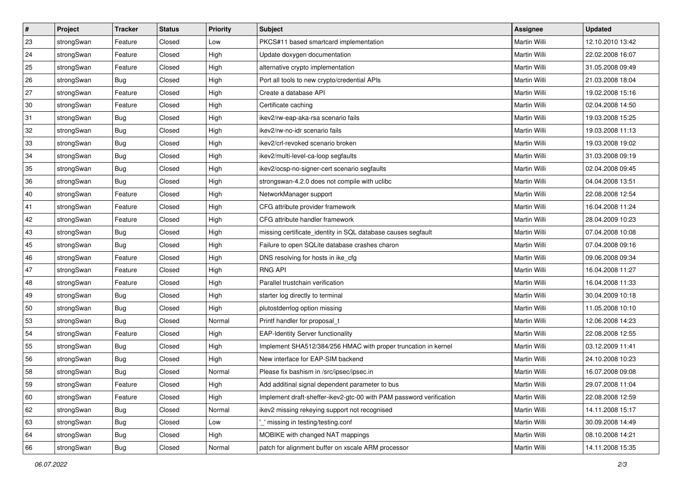| $\vert$ # | Project    | <b>Tracker</b> | <b>Status</b> | <b>Priority</b> | <b>Subject</b>                                                      | Assignee            | <b>Updated</b>   |
|-----------|------------|----------------|---------------|-----------------|---------------------------------------------------------------------|---------------------|------------------|
| 23        | strongSwan | Feature        | Closed        | Low             | PKCS#11 based smartcard implementation                              | Martin Willi        | 12.10.2010 13:42 |
| 24        | strongSwan | Feature        | Closed        | High            | Update doxygen documentation                                        | <b>Martin Willi</b> | 22.02.2008 16:07 |
| 25        | strongSwan | Feature        | Closed        | High            | alternative crypto implementation                                   | Martin Willi        | 31.05.2008 09:49 |
| 26        | strongSwan | Bug            | Closed        | High            | Port all tools to new crypto/credential APIs                        | Martin Willi        | 21.03.2008 18:04 |
| 27        | strongSwan | Feature        | Closed        | High            | Create a database API                                               | Martin Willi        | 19.02.2008 15:16 |
| 30        | strongSwan | Feature        | Closed        | High            | Certificate caching                                                 | Martin Willi        | 02.04.2008 14:50 |
| 31        | strongSwan | Bug            | Closed        | High            | ikev2/rw-eap-aka-rsa scenario fails                                 | Martin Willi        | 19.03.2008 15:25 |
| 32        | strongSwan | Bug            | Closed        | High            | ikev2/rw-no-idr scenario fails                                      | Martin Willi        | 19.03.2008 11:13 |
| 33        | strongSwan | <b>Bug</b>     | Closed        | High            | ikev2/crl-revoked scenario broken                                   | Martin Willi        | 19.03.2008 19:02 |
| 34        | strongSwan | <b>Bug</b>     | Closed        | High            | ikev2/multi-level-ca-loop segfaults                                 | Martin Willi        | 31.03.2008 09:19 |
| 35        | strongSwan | Bug            | Closed        | High            | ikev2/ocsp-no-signer-cert scenario segfaults                        | Martin Willi        | 02.04.2008 09:45 |
| 36        | strongSwan | <b>Bug</b>     | Closed        | High            | strongswan-4.2.0 does not compile with uclibc                       | Martin Willi        | 04.04.2008 13:51 |
| 40        | strongSwan | Feature        | Closed        | High            | NetworkManager support                                              | <b>Martin Willi</b> | 22.08.2008 12:54 |
| 41        | strongSwan | Feature        | Closed        | High            | CFG attribute provider framework                                    | Martin Willi        | 16.04.2008 11:24 |
| 42        | strongSwan | Feature        | Closed        | High            | CFG attribute handler framework                                     | <b>Martin Willi</b> | 28.04.2009 10:23 |
| 43        | strongSwan | <b>Bug</b>     | Closed        | High            | missing certificate_identity in SQL database causes segfault        | Martin Willi        | 07.04.2008 10:08 |
| 45        | strongSwan | <b>Bug</b>     | Closed        | High            | Failure to open SQLite database crashes charon                      | <b>Martin Willi</b> | 07.04.2008 09:16 |
| 46        | strongSwan | Feature        | Closed        | High            | DNS resolving for hosts in ike_cfg                                  | Martin Willi        | 09.06.2008 09:34 |
| 47        | strongSwan | Feature        | Closed        | High            | <b>RNG API</b>                                                      | Martin Willi        | 16.04.2008 11:27 |
| 48        | strongSwan | Feature        | Closed        | High            | Parallel trustchain verification                                    | Martin Willi        | 16.04.2008 11:33 |
| 49        | strongSwan | Bug            | Closed        | High            | starter log directly to terminal                                    | Martin Willi        | 30.04.2009 10:18 |
| 50        | strongSwan | <b>Bug</b>     | Closed        | High            | plutostderrlog option missing                                       | Martin Willi        | 11.05.2008 10:10 |
| 53        | strongSwan | Bug            | Closed        | Normal          | Printf handler for proposal_t                                       | Martin Willi        | 12.06.2008 14:23 |
| 54        | strongSwan | Feature        | Closed        | High            | <b>EAP-Identity Server functionality</b>                            | Martin Willi        | 22.08.2008 12:55 |
| 55        | strongSwan | <b>Bug</b>     | Closed        | High            | Implement SHA512/384/256 HMAC with proper truncation in kernel      | Martin Willi        | 03.12.2009 11:41 |
| 56        | strongSwan | <b>Bug</b>     | Closed        | High            | New interface for EAP-SIM backend                                   | Martin Willi        | 24.10.2008 10:23 |
| 58        | strongSwan | Bug            | Closed        | Normal          | Please fix bashism in /src/ipsec/ipsec.in                           | Martin Willi        | 16.07.2008 09:08 |
| 59        | strongSwan | Feature        | Closed        | High            | Add additinal signal dependent parameter to bus                     | Martin Willi        | 29.07.2008 11:04 |
| 60        | strongSwan | Feature        | Closed        | High            | Implement draft-sheffer-ikev2-gtc-00 with PAM password verification | Martin Willi        | 22.08.2008 12:59 |
| 62        | strongSwan | Bug            | Closed        | Normal          | ikev2 missing rekeying support not recognised                       | Martin Willi        | 14.11.2008 15:17 |
| 63        | strongSwan | <b>Bug</b>     | Closed        | Low             | missing in testing/testing.conf                                     | Martin Willi        | 30.09.2008 14:49 |
| 64        | strongSwan | Bug            | Closed        | High            | MOBIKE with changed NAT mappings                                    | Martin Willi        | 08.10.2008 14:21 |
| 66        | strongSwan | <b>Bug</b>     | Closed        | Normal          | patch for alignment buffer on xscale ARM processor                  | Martin Willi        | 14.11.2008 15:35 |